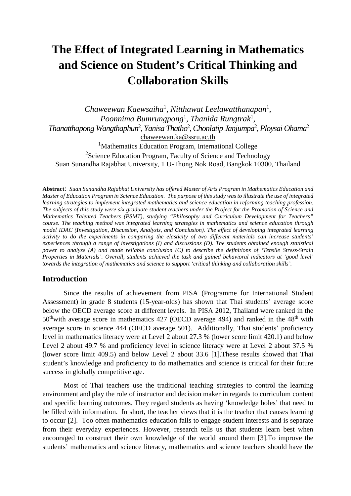# **The Effect of Integrated Learning in Mathematics and Science on Student's Critical Thinking and Collaboration Skills**

*Chaweewan Kaewsaiha*<sup>1</sup> , *Nitthawat Leelawatthanapan*<sup>1</sup> , *Poonnima Bumrungpong*<sup>1</sup> , *Thanida Rungtrak*<sup>1</sup> , *Thanatthapong Wangthaphun*<sup>2</sup> *, Yanisa Thatho*<sup>2</sup> *, Chonlatip Janjumpa*<sup>2</sup> *, Ploysai Ohama*<sup>2</sup> [chaweewan.ka@ssru.ac.th](mailto:chaweewan.ka@ssru.ac.th)

<sup>1</sup>Mathematics Education Program, International College <sup>2</sup>Science Education Program, Faculty of Science and Technology Suan Sunandha Rajabhat University, 1 U-Thong Nok Road, Bangkok 10300, Thailand

**Abstract**: *Suan Sunandha Rajabhat University has offered Master of Arts Program in Mathematics Education and Master of Education Program in Science Education. The purpose of this study was to illustrate the use of integrated learning strategies to implement integrated mathematics and science education in reforming teaching profession. The subjects of this study were six graduate student teachers under the Project for the Promotion of Science and Mathematics Talented Teachers (PSMT), studying "Philosophy and Curriculum Development for Teachers" course. The teaching method was integrated learning strategies in mathematics and science education through model IDAC (Investigation, Discussion, Analysis, and Conclusion). The effect of developing integrated learning activity to do the experiments in comparing the elasticity of two different materials can increase students' experiences through a range of investigations (I) and discussions (D). The students obtained enough statistical power to analyze (A) and made reliable conclusion (C) to describe the definitions of 'Tensile Stress-Strain Properties in Materials'. Overall, students achieved the task and gained behavioral indicators at 'good level' towards the integration of mathematics and science to support 'critical thinking and collaboration skills'.* 

#### **Introduction**

Since the results of achievement from PISA (Programme for International Student Assessment) in grade 8 students (15-year-olds) has shown that Thai students' average score below the OECD average score at different levels. In PISA 2012, Thailand were ranked in the  $50<sup>th</sup>$  with average score in mathematics 427 (OECD average 494) and ranked in the 48<sup>th</sup> with average score in science 444 (OECD average 501). Additionally, Thai students' proficiency level in mathematics literacy were at Level 2 about 27.3 % (lower score limit 420.1) and below Level 2 about 49.7 % and proficiency level in science literacy were at Level 2 about 37.5 % (lower score limit 409.5) and below Level 2 about 33.6 [1].These results showed that Thai student's knowledge and proficiency to do mathematics and science is critical for their future success in globally competitive age.

Most of Thai teachers use the traditional teaching strategies to control the learning environment and play the role of instructor and decision maker in regards to curriculum content and specific learning outcomes. They regard students as having 'knowledge holes' that need to be filled with information. In short, the teacher views that it is the teacher that causes learning to occur [2]. Too often mathematics education fails to engage student interests and is separate from their everyday experiences. However, research tells us that students learn best when encouraged to construct their own knowledge of the world around them [3].To improve the students' mathematics and science literacy, mathematics and science teachers should have the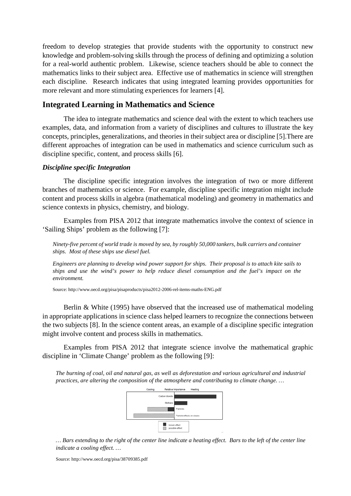freedom to develop strategies that provide students with the opportunity to construct new knowledge and problem-solving skills through the process of defining and optimizing a solution for a real-world authentic problem. Likewise, science teachers should be able to connect the mathematics links to their subject area. Effective use of mathematics in science will strengthen each discipline. Research indicates that using integrated learning provides opportunities for more relevant and more stimulating experiences for learners [4].

#### **Integrated Learning in Mathematics and Science**

The idea to integrate mathematics and science deal with the extent to which teachers use examples, data, and information from a variety of disciplines and cultures to illustrate the key concepts, principles, generalizations, and theories in their subject area or discipline [5].There are different approaches of integration can be used in mathematics and science curriculum such as discipline specific, content, and process skills [6].

#### *Discipline specific Integration*

The discipline specific integration involves the integration of two or more different branches of mathematics or science. For example, discipline specific integration might include content and process skills in algebra (mathematical modeling) and geometry in mathematics and science contexts in physics, chemistry, and biology.

Examples from PISA 2012 that integrate mathematics involve the context of science in 'Sailing Ships' problem as the following [7]:

*Ninety-five percent of world trade is moved by sea, by roughly 50,000 tankers, bulk carriers and container ships. Most of these ships use diesel fuel.*

*Engineers are planning to develop wind power support for ships. Their proposal is to attach kite sails to ships and use the wind's power to help reduce diesel consumption and the fuel's impact on the environment.*

Source: http://www.oecd.org/pisa/pisaproducts/pisa2012-2006-rel-items-maths-ENG.pdf

Berlin & White (1995) have observed that the increased use of mathematical modeling in appropriate applications in science class helped learners to recognize the connections between the two subjects [8]. In the science content areas, an example of a discipline specific integration might involve content and process skills in mathematics.

Examples from PISA 2012 that integrate science involve the mathematical graphic discipline in 'Climate Change' problem as the following [9]:

*The burning of coal, oil and natural gas, as well as deforestation and various agricultural and industrial practices, are altering the composition of the atmosphere and contributing to climate change. …*



*… Bars extending to the right of the center line indicate a heating effect. Bars to the left of the center line indicate a cooling effect. …*

Source: http://www.oecd.org/pisa/38709385.pdf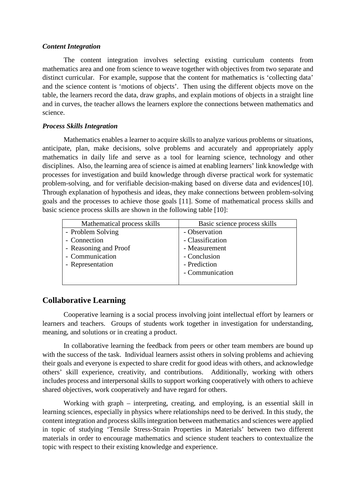#### *Content Integration*

The content integration involves selecting existing curriculum contents from mathematics area and one from science to weave together with objectives from two separate and distinct curricular. For example, suppose that the content for mathematics is 'collecting data' and the science content is 'motions of objects'. Then using the different objects move on the table, the learners record the data, draw graphs, and explain motions of objects in a straight line and in curves, the teacher allows the learners explore the connections between mathematics and science.

#### *Process Skills Integration*

Mathematics enables a learner to acquire skills to analyze various problems or situations, anticipate, plan, make decisions, solve problems and accurately and appropriately apply mathematics in daily life and serve as a tool for learning science, technology and other disciplines. Also, the learning area of science is aimed at enabling learners' link knowledge with processes for investigation and build knowledge through diverse practical work for systematic problem-solving, and for verifiable decision-making based on diverse data and evidences[10]. Through explanation of hypothesis and ideas, they make connections between problem-solving goals and the processes to achieve those goals [11]. Some of mathematical process skills and basic science process skills are shown in the following table [10]:

| Mathematical process skills | Basic science process skills |
|-----------------------------|------------------------------|
| - Problem Solving           | - Observation                |
| - Connection                | - Classification             |
| - Reasoning and Proof       | - Measurement                |
| - Communication             | - Conclusion                 |
| - Representation            | - Prediction                 |
|                             | - Communication              |
|                             |                              |

# **Collaborative Learning**

Cooperative learning is a social process involving joint intellectual effort by learners or learners and teachers. Groups of students work together in investigation for understanding, meaning, and solutions or in creating a product.

In collaborative learning the feedback from peers or other team members are bound up with the success of the task. Individual learners assist others in solving problems and achieving their goals and everyone is expected to share credit for good ideas with others, and acknowledge others' skill experience, creativity, and contributions. Additionally, working with others includes process and interpersonal skills to support working cooperatively with others to achieve shared objectives, work cooperatively and have regard for others.

Working with graph – interpreting, creating, and employing, is an essential skill in learning sciences, especially in physics where relationships need to be derived. In this study, the content integration and process skills integration between mathematics and sciences were applied in topic of studying 'Tensile Stress-Strain Properties in Materials' between two different materials in order to encourage mathematics and science student teachers to contextualize the topic with respect to their existing knowledge and experience.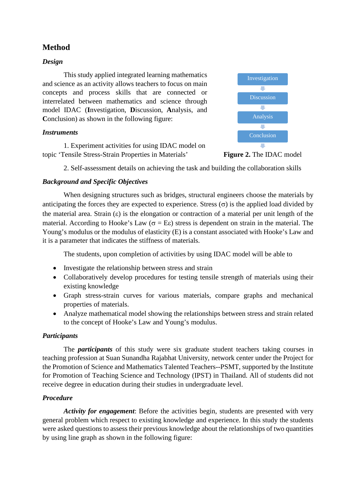# **Method**

#### *Design*

This study applied integrated learning mathematics and science as an activity allows teachers to focus on main concepts and process skills that are connected or interrelated between mathematics and science through model IDAC (**I**nvestigation, **D**iscussion, **A**nalysis, and **Conclusion**) as shown in the following figure:

#### *Instruments*

1. Experiment activities for using IDAC model on topic 'Tensile Stress-Strain Properties in Materials'



**Figure 2.** The IDAC model

2. Self-assessment details on achieving the task and building the collaboration skills

#### *Background and Specific Objectives*

When designing structures such as bridges, structural engineers choose the materials by anticipating the forces they are expected to experience. Stress  $(\sigma)$  is the applied load divided by the material area. Strain  $(\varepsilon)$  is the elongation or contraction of a material per unit length of the material. According to Hooke's Law ( $\sigma = E\varepsilon$ ) stress is dependent on strain in the material. The Young's modulus or the modulus of elasticity (E) is a constant associated with Hooke's Law and it is a parameter that indicates the stiffness of materials.

The students, upon completion of activities by using IDAC model will be able to

- Investigate the relationship between stress and strain
- Collaboratively develop procedures for testing tensile strength of materials using their existing knowledge
- Graph stress-strain curves for various materials, compare graphs and mechanical properties of materials.
- Analyze mathematical model showing the relationships between stress and strain related to the concept of Hooke's Law and Young's modulus.

# *Participants*

The *participants* of this study were six graduate student teachers taking courses in teaching profession at Suan Sunandha Rajabhat University, network center under the Project for the Promotion of Science and Mathematics Talented Teachers--PSMT, supported by the Institute for Promotion of Teaching Science and Technology (IPST) in Thailand. All of students did not receive degree in education during their studies in undergraduate level.

#### *Procedure*

*Activity for engagement*: Before the activities begin, students are presented with very general problem which respect to existing knowledge and experience. In this study the students were asked questions to assess their previous knowledge about the relationships of two quantities by using line graph as shown in the following figure: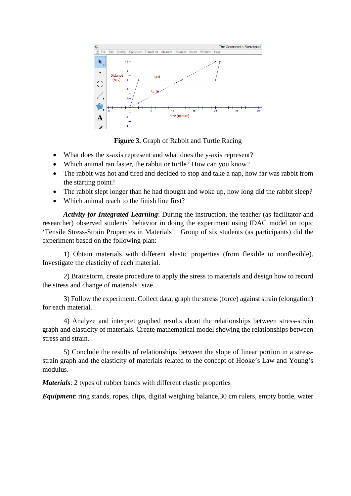

**Figure 3.** Graph of Rabbit and Turtle Racing

- What does the x-axis represent and what does the y-axis represent?
- Which animal ran faster, the rabbit or turtle? How can you know?
- The rabbit was hot and tired and decided to stop and take a nap, how far was rabbit from the starting point?
- The rabbit slept longer than he had thought and woke up, how long did the rabbit sleep?
- Which animal reach to the finish line first?

*Activity for Integrated Learning*: During the instruction, the teacher (as facilitator and researcher) observed students' behavior in doing the experiment using IDAC model on topic 'Tensile Stress-Strain Properties in Materials'. Group of six students (as participants) did the experiment based on the following plan:

1) Obtain materials with different elastic properties (from flexible to nonflexible). Investigate the elasticity of each material.

2) Brainstorm, create procedure to apply the stress to materials and design how to record the stress and change of materials' size.

3) Follow the experiment. Collect data, graph the stress (force) against strain (elongation) for each material.

4) Analyze and interpret graphed results about the relationships between stress-strain graph and elasticity of materials. Create mathematical model showing the relationships between stress and strain.

5) Conclude the results of relationships between the slope of linear portion in a stressstrain graph and the elasticity of materials related to the concept of Hooke's Law and Young's modulus.

*Materials*: 2 types of rubber bands with different elastic properties

*Equipment*: ring stands, ropes, clips, digital weighing balance, 30 cm rulers, empty bottle, water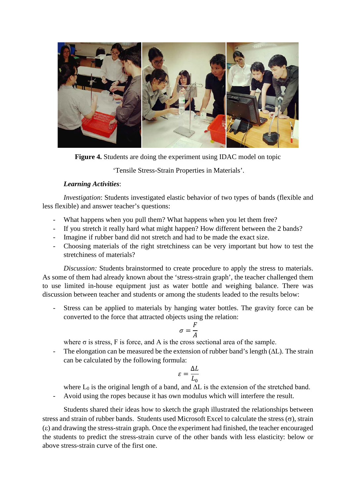

**Figure 4.** Students are doing the experiment using IDAC model on topic

'Tensile Stress-Strain Properties in Materials'.

#### *Learning Activities*:

*Investigation*: Students investigated elastic behavior of two types of bands (flexible and less flexible) and answer teacher's questions:

- What happens when you pull them? What happens when you let them free?
- If you stretch it really hard what might happen? How different between the 2 bands?
- Imagine if rubber band did not stretch and had to be made the exact size.
- Choosing materials of the right stretchiness can be very important but how to test the stretchiness of materials?

*Discussion:* Students brainstormed to create procedure to apply the stress to materials. As some of them had already known about the 'stress-strain graph', the teacher challenged them to use limited in-house equipment just as water bottle and weighing balance. There was discussion between teacher and students or among the students leaded to the results below:

- Stress can be applied to materials by hanging water bottles. The gravity force can be converted to the force that attracted objects using the relation:

$$
\sigma = \frac{F}{A}
$$

where  $\sigma$  is stress, F is force, and A is the cross sectional area of the sample.

- The elongation can be measured be the extension of rubber band's length (∆L). The strain can be calculated by the following formula:

$$
\varepsilon = \frac{\Delta L}{L_0}
$$

where  $L_0$  is the original length of a band, and  $\Delta L$  is the extension of the stretched band.

- Avoid using the ropes because it has own modulus which will interfere the result.

Students shared their ideas how to sketch the graph illustrated the relationships between stress and strain of rubber bands. Students used Microsoft Excel to calculate the stress  $(\sigma)$ , strain (ε) and drawing the stress-strain graph. Once the experiment had finished, the teacher encouraged the students to predict the stress-strain curve of the other bands with less elasticity: below or above stress-strain curve of the first one.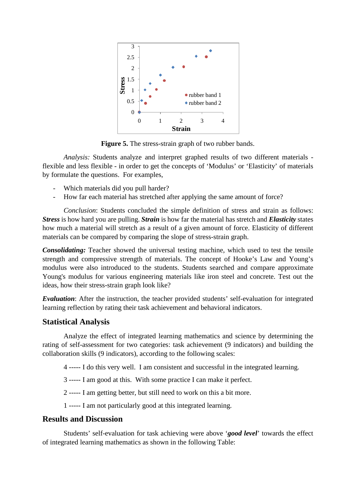

Figure 5. The stress-strain graph of two rubber bands.

*Analysis:* Students analyze and interpret graphed results of two different materials flexible and less flexible - in order to get the concepts of 'Modulus' or 'Elasticity' of materials by formulate the questions. For examples,

- Which materials did you pull harder?
- How far each material has stretched after applying the same amount of force?

*Conclusion*: Students concluded the simple definition of stress and strain as follows: *Stress* is how hard you are pulling. *Strain* is how far the material has stretch and *Elasticity* states how much a material will stretch as a result of a given amount of force. Elasticity of different materials can be compared by comparing the slope of stress-strain graph.

*Consolidating:* Teacher showed the universal testing machine, which used to test the tensile strength and compressive strength of materials. The concept of Hooke's Law and Young's modulus were also introduced to the students. Students searched and compare approximate Young's modulus for various engineering materials like iron steel and concrete. Test out the ideas, how their stress-strain graph look like?

*Evaluation*: After the instruction, the teacher provided students' self-evaluation for integrated learning reflection by rating their task achievement and behavioral indicators.

# **Statistical Analysis**

Analyze the effect of integrated learning mathematics and science by determining the rating of self-assessment for two categories: task achievement (9 indicators) and building the collaboration skills (9 indicators), according to the following scales:

- 4 ----- I do this very well. I am consistent and successful in the integrated learning.
- 3 ----- I am good at this. With some practice I can make it perfect.
- 2 ----- I am getting better, but still need to work on this a bit more.
- 1 ----- I am not particularly good at this integrated learning.

# **Results and Discussion**

Students' self-evaluation for task achieving were above '*good level*' towards the effect of integrated learning mathematics as shown in the following Table: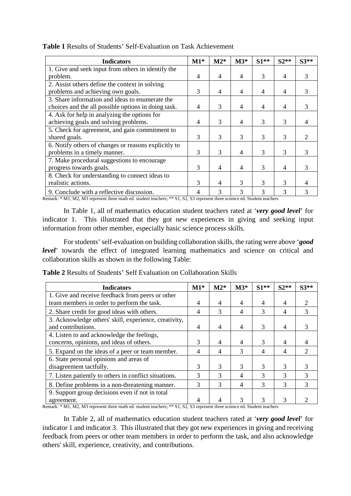| <b>Indicators</b>                                    |   | $M2*$          | $M3*$ | $S1**$ | $S2**$ | $S3**$ |
|------------------------------------------------------|---|----------------|-------|--------|--------|--------|
| 1. Give and seek input from others in identify the   |   |                |       |        |        |        |
| problem.                                             |   | 4              | 4     | 3      | 4      |        |
| 2. Assist others define the context in solving       |   |                |       |        |        |        |
| problems and achieving own goals.                    |   | 4              | 4     | 4      | 4      |        |
| 3. Share information and ideas to enumerate the      |   |                |       |        |        |        |
| choices and the all possible options in doing task.  |   | 3              | 4     | 4      | 4      |        |
| 4. Ask for help in analyzing the options for         |   |                |       |        |        |        |
| achieving goals and solving problems.                |   | 3              | 4     | 3      | 3      |        |
| 5. Check for agreement, and gain commitment to       |   |                |       |        |        |        |
| shared goals.                                        | 3 | 3              | 3     | 3      | 3      |        |
| 6. Notify others of changes or reasons explicitly to |   |                |       |        |        |        |
| problems in a timely manner.                         | 3 | 3              | 4     | 3      | 3      | 3      |
| 7. Make procedural suggestions to encourage          |   |                |       |        |        |        |
| progress towards goals.                              |   | $\overline{4}$ | 4     | 3      | 4      | 3      |
| 8. Check for understanding to connect ideas to       |   |                |       |        |        |        |
| realistic actions.                                   | 3 | 4              | 3     | 3      | 3      |        |
| 9. Conclude with a reflective discussion.            | 4 | 3              | 3     | 3      | 3      | 3      |

#### **Table 1** Results of Students' Self-Evaluation on Task Achievement

Remark: \* M1, M2, M3 represent three math ed. student teachers; \*\* S1, S2, S3 represent three science ed. Student teachers

In Table 1, all of mathematics education student teachers rated at '*very good level*' for indicator 1. This illustrated that they got new experiences in giving and seeking input information from other member, especially basic science process skills.

For students' self-evaluation on building collaboration skills, the rating were above '*good level*' towards the effect of integrated learning mathematics and science on critical and collaboration skills as shown in the following Table:

**Table 2** Results of Students' Self Evaluation on Collaboration Skills

| <b>Indicators</b>                                     | $M1*$ | $M2*$ | $M3*$ | $S1**$         | $S2**$         | $S3**$                      |
|-------------------------------------------------------|-------|-------|-------|----------------|----------------|-----------------------------|
| 1. Give and receive feedback from peers or other      |       |       |       |                |                |                             |
| team members in order to perform the task.            |       | 4     | 4     | 4              |                |                             |
| 2. Share credit for good ideas with others.           | 4     | 3     | 4     | 3              | $\overline{4}$ |                             |
| 3. Acknowledge others' skill, experience, creativity, |       |       |       |                |                |                             |
| and contributions.                                    |       | 4     | 4     | 3              | 4              |                             |
| 4. Listen to and acknowledge the feelings,            |       |       |       |                |                |                             |
| concerns, opinions, and ideas of others.              |       | 4     | 4     | 3              | 4              |                             |
| 5. Expand on the ideas of a peer or team member.      | 4     | 4     | 3     | $\overline{4}$ | 4              | $\mathcal{D}_{\mathcal{L}}$ |
| 6. State personal opinions and areas of               |       |       |       |                |                |                             |
| disagreement tactfully.                               | 3     | 3     | 3     | 3              | 3              |                             |
| 7. Listen patiently to others in conflict situations. | 3     | 3     | 4     | 3              | 3              |                             |
| 8. Define problems in a non-threatening manner.       | 3     | 3     | 4     | 3              | 3              | 3                           |
| 9. Support group decisions even if not in total       |       |       |       |                |                |                             |
| agreement.                                            |       |       | 3     | 3              | 3              |                             |

Remark: \* M1, M2, M3 represent three math ed. student teachers; \*\* S1, S2, S3 represent three science ed. Student teachers

In Table 2, all of mathematics education student teachers rated at '*very good level*' for indicator 1 and indicator 3. This illustrated that they got new experiences in giving and receiving feedback from peers or other team members in order to perform the task, and also acknowledge others' skill, experience, creativity, and contributions.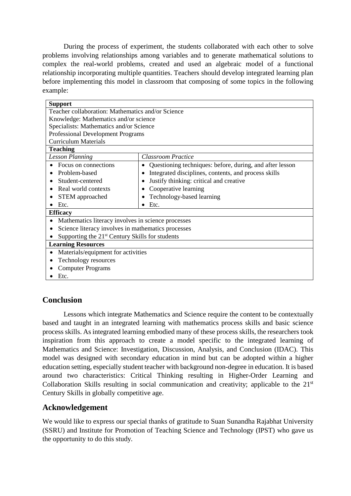During the process of experiment, the students collaborated with each other to solve problems involving relationships among variables and to generate mathematical solutions to complex the real-world problems, created and used an algebraic model of a functional relationship incorporating multiple quantities. Teachers should develop integrated learning plan before implementing this model in classroom that composing of some topics in the following example:

| <b>Support</b>                                              |                                                               |  |  |  |
|-------------------------------------------------------------|---------------------------------------------------------------|--|--|--|
| Teacher collaboration: Mathematics and/or Science           |                                                               |  |  |  |
| Knowledge: Mathematics and/or science                       |                                                               |  |  |  |
| Specialists: Mathematics and/or Science                     |                                                               |  |  |  |
| <b>Professional Development Programs</b>                    |                                                               |  |  |  |
| <b>Curriculum Materials</b>                                 |                                                               |  |  |  |
| <b>Teaching</b>                                             |                                                               |  |  |  |
| <b>Lesson Planning</b>                                      | <b>Classroom Practice</b>                                     |  |  |  |
| Focus on connections                                        | Questioning techniques: before, during, and after lesson<br>٠ |  |  |  |
| Problem-based                                               | Integrated disciplines, contents, and process skills          |  |  |  |
| Student-centered                                            | Justify thinking: critical and creative                       |  |  |  |
| Real world contexts                                         | Cooperative learning                                          |  |  |  |
| STEM approached                                             | Technology-based learning<br>$\bullet$                        |  |  |  |
| Etc.                                                        | Etc.<br>$\bullet$                                             |  |  |  |
| <b>Efficacy</b>                                             |                                                               |  |  |  |
| Mathematics literacy involves in science processes          |                                                               |  |  |  |
| Science literacy involves in mathematics processes          |                                                               |  |  |  |
| Supporting the 21 <sup>st</sup> Century Skills for students |                                                               |  |  |  |
| <b>Learning Resources</b>                                   |                                                               |  |  |  |
| Materials/equipment for activities                          |                                                               |  |  |  |
| Technology resources                                        |                                                               |  |  |  |
| <b>Computer Programs</b>                                    |                                                               |  |  |  |
| Etc.                                                        |                                                               |  |  |  |

# **Conclusion**

Lessons which integrate Mathematics and Science require the content to be contextually based and taught in an integrated learning with mathematics process skills and basic science process skills. As integrated learning embodied many of these process skills, the researchers took inspiration from this approach to create a model specific to the integrated learning of Mathematics and Science: Investigation, Discussion, Analysis, and Conclusion (IDAC). This model was designed with secondary education in mind but can be adopted within a higher education setting, especially student teacher with background non-degree in education. It is based around two characteristics: Critical Thinking resulting in Higher-Order Learning and Collaboration Skills resulting in social communication and creativity; applicable to the 21<sup>st</sup> Century Skills in globally competitive age.

# **Acknowledgement**

We would like to express our special thanks of gratitude to Suan Sunandha Rajabhat University (SSRU) and Institute for Promotion of Teaching Science and Technology (IPST) who gave us the opportunity to do this study.